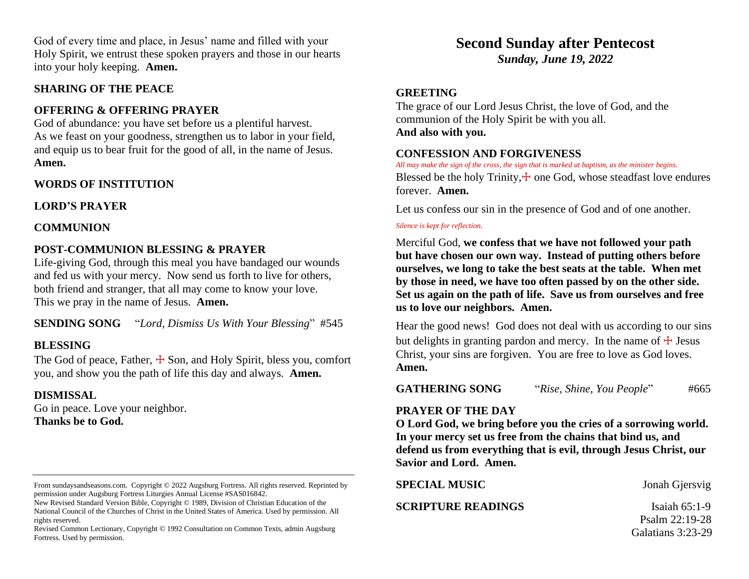God of every time and place, in Jesus' name and filled with your Holy Spirit, we entrust these spoken prayers and those in our hearts into your holy keeping. **Amen.**

#### **SHARING OF THE PEACE**

## **OFFERING & OFFERING PRAYER**

God of abundance: you have set before us a plentiful harvest. As we feast on your goodness, strengthen us to labor in your field, and equip us to bear fruit for the good of all, in the name of Jesus. **Amen.**

### **WORDS OF INSTITUTION**

**LORD'S PRAYER**

#### **COMMUNION**

## **POST-COMMUNION BLESSING & PRAYER**

Life-giving God, through this meal you have bandaged our wounds and fed us with your mercy. Now send us forth to live for others, both friend and stranger, that all may come to know your love. This we pray in the name of Jesus. **Amen.**

**SENDING SONG** "*Lord, Dismiss Us With Your Blessing*" #545

### **BLESSING**

The God of peace, Father,  $\pm$  Son, and Holy Spirit, bless you, comfort you, and show you the path of life this day and always. **Amen.**

### **DISMISSAL**

Go in peace. Love your neighbor. **Thanks be to God.**

# **Second Sunday after Pentecost**

*Sunday, June 19, 2022*

### **GREETING**

The grace of our Lord Jesus Christ, the love of God, and the communion of the Holy Spirit be with you all. **And also with you.**

#### **CONFESSION AND FORGIVENESS**

*All may make the sign of the cross, the sign that is marked at baptism, as the minister begins.* Blessed be the holy Trinity, $\pm$  one God, whose steadfast love endures forever. **Amen.**

Let us confess our sin in the presence of God and of one another.

#### *Silence is kept for reflection.*

Merciful God, **we confess that we have not followed your path but have chosen our own way. Instead of putting others before ourselves, we long to take the best seats at the table. When met by those in need, we have too often passed by on the other side. Set us again on the path of life. Save us from ourselves and free us to love our neighbors. Amen.**

Hear the good news! God does not deal with us according to our sins but delights in granting pardon and mercy. In the name of  $\pm$  Jesus Christ, your sins are forgiven. You are free to love as God loves. **Amen.**

**GATHERING SONG** "*Rise, Shine, You People*" #665

#### **PRAYER OF THE DAY**

**O Lord God, we bring before you the cries of a sorrowing world. In your mercy set us free from the chains that bind us, and defend us from everything that is evil, through Jesus Christ, our Savior and Lord. Amen.**

**SPECIAL MUSIC** Jonah Gjersvig

**SCRIPTURE READINGS** Isaiah 65:1-9

 Psalm 22:19-28 Galatians 3:23-29

From sundaysandseasons.com. Copyright © 2022 Augsburg Fortress. All rights reserved. Reprinted by permission under Augsburg Fortress Liturgies Annual License #SAS016842.

New Revised Standard Version Bible, Copyright © 1989, Division of Christian Education of the National Council of the Churches of Christ in the United States of America. Used by permission. All rights reserved.

Revised Common Lectionary, Copyright © 1992 Consultation on Common Texts, admin Augsburg Fortress. Used by permission.